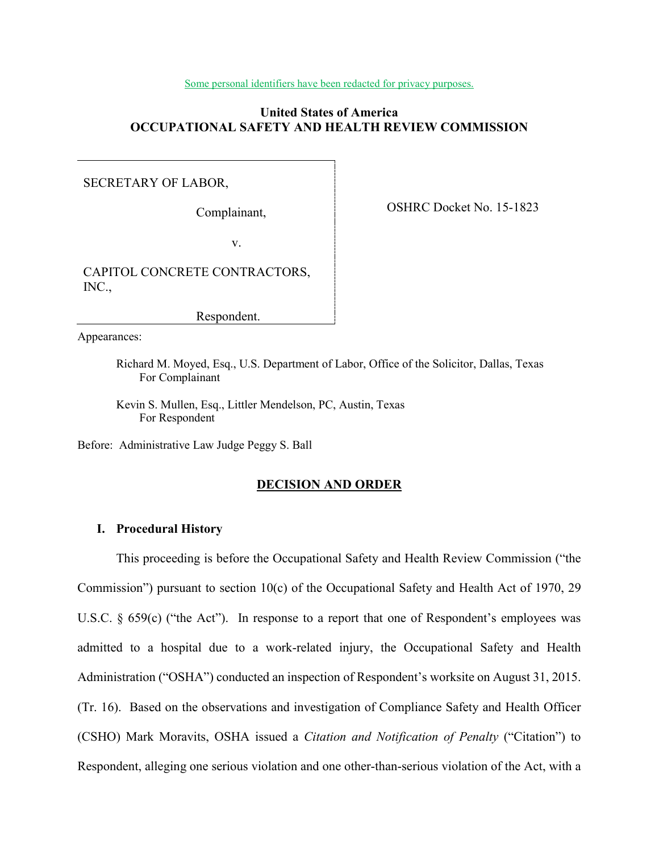#### Some personal identifiers have been redacted for privacy purposes.

# **United States of America OCCUPATIONAL SAFETY AND HEALTH REVIEW COMMISSION**

# SECRETARY OF LABOR,

Complainant,

OSHRC Docket No. 15-1823

v.

CAPITOL CONCRETE CONTRACTORS, INC.,

Respondent.

Appearances:

Richard M. Moyed, Esq., U.S. Department of Labor, Office of the Solicitor, Dallas, Texas For Complainant

Kevin S. Mullen, Esq., Littler Mendelson, PC, Austin, Texas For Respondent

Before: Administrative Law Judge Peggy S. Ball

# **DECISION AND ORDER**

## **I. Procedural History**

This proceeding is before the Occupational Safety and Health Review Commission ("the Commission") pursuant to section 10(c) of the Occupational Safety and Health Act of 1970, 29 U.S.C. § 659(c) ("the Act"). In response to a report that one of Respondent's employees was admitted to a hospital due to a work-related injury, the Occupational Safety and Health Administration ("OSHA") conducted an inspection of Respondent's worksite on August 31, 2015. (Tr. 16). Based on the observations and investigation of Compliance Safety and Health Officer (CSHO) Mark Moravits, OSHA issued a *Citation and Notification of Penalty* ("Citation") to Respondent, alleging one serious violation and one other-than-serious violation of the Act, with a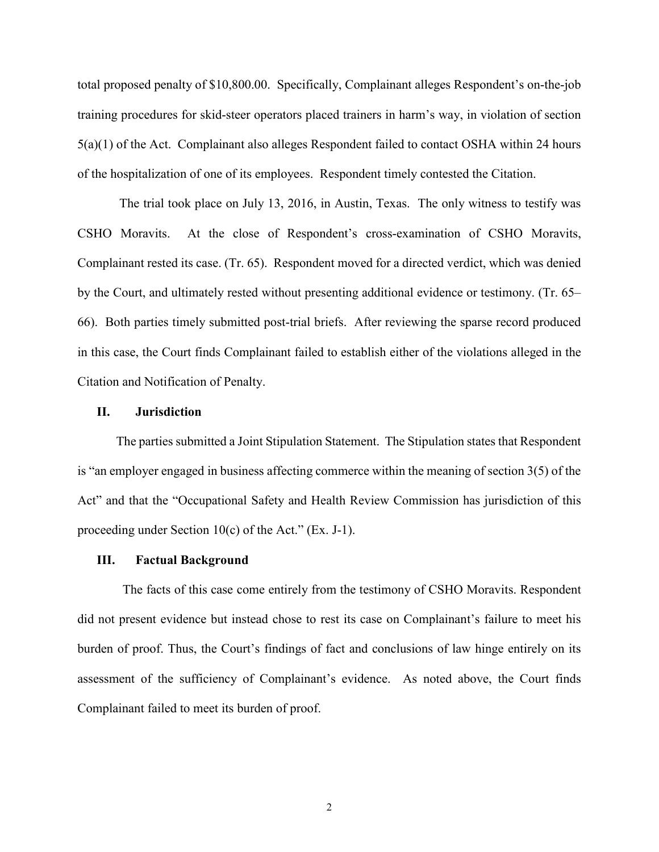total proposed penalty of \$10,800.00. Specifically, Complainant alleges Respondent's on-the-job training procedures for skid-steer operators placed trainers in harm's way, in violation of section 5(a)(1) of the Act. Complainant also alleges Respondent failed to contact OSHA within 24 hours of the hospitalization of one of its employees. Respondent timely contested the Citation.

 The trial took place on July 13, 2016, in Austin, Texas. The only witness to testify was CSHO Moravits. At the close of Respondent's cross-examination of CSHO Moravits, Complainant rested its case. (Tr. 65). Respondent moved for a directed verdict, which was denied by the Court, and ultimately rested without presenting additional evidence or testimony. (Tr. 65– 66). Both parties timely submitted post-trial briefs. After reviewing the sparse record produced in this case, the Court finds Complainant failed to establish either of the violations alleged in the Citation and Notification of Penalty.

## **II. Jurisdiction**

The parties submitted a Joint Stipulation Statement. The Stipulation states that Respondent is "an employer engaged in business affecting commerce within the meaning of section 3(5) of the Act" and that the "Occupational Safety and Health Review Commission has jurisdiction of this proceeding under Section 10(c) of the Act." (Ex. J-1).

#### **III. Factual Background**

 The facts of this case come entirely from the testimony of CSHO Moravits. Respondent did not present evidence but instead chose to rest its case on Complainant's failure to meet his burden of proof. Thus, the Court's findings of fact and conclusions of law hinge entirely on its assessment of the sufficiency of Complainant's evidence. As noted above, the Court finds Complainant failed to meet its burden of proof.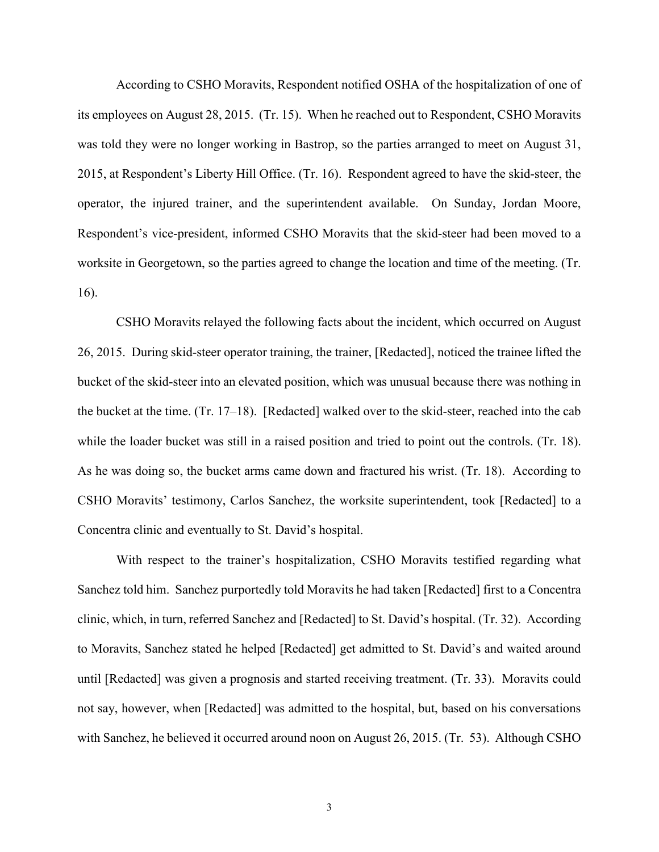According to CSHO Moravits, Respondent notified OSHA of the hospitalization of one of its employees on August 28, 2015. (Tr. 15). When he reached out to Respondent, CSHO Moravits was told they were no longer working in Bastrop, so the parties arranged to meet on August 31, 2015, at Respondent's Liberty Hill Office. (Tr. 16). Respondent agreed to have the skid-steer, the operator, the injured trainer, and the superintendent available. On Sunday, Jordan Moore, Respondent's vice-president, informed CSHO Moravits that the skid-steer had been moved to a worksite in Georgetown, so the parties agreed to change the location and time of the meeting. (Tr. 16).

CSHO Moravits relayed the following facts about the incident, which occurred on August 26, 2015. During skid-steer operator training, the trainer, [Redacted], noticed the trainee lifted the bucket of the skid-steer into an elevated position, which was unusual because there was nothing in the bucket at the time. (Tr. 17–18). [Redacted] walked over to the skid-steer, reached into the cab while the loader bucket was still in a raised position and tried to point out the controls. (Tr. 18). As he was doing so, the bucket arms came down and fractured his wrist. (Tr. 18). According to CSHO Moravits' testimony, Carlos Sanchez, the worksite superintendent, took [Redacted] to a Concentra clinic and eventually to St. David's hospital.

With respect to the trainer's hospitalization, CSHO Moravits testified regarding what Sanchez told him. Sanchez purportedly told Moravits he had taken [Redacted] first to a Concentra clinic, which, in turn, referred Sanchez and [Redacted] to St. David's hospital. (Tr. 32). According to Moravits, Sanchez stated he helped [Redacted] get admitted to St. David's and waited around until [Redacted] was given a prognosis and started receiving treatment. (Tr. 33). Moravits could not say, however, when [Redacted] was admitted to the hospital, but, based on his conversations with Sanchez, he believed it occurred around noon on August 26, 2015. (Tr. 53). Although CSHO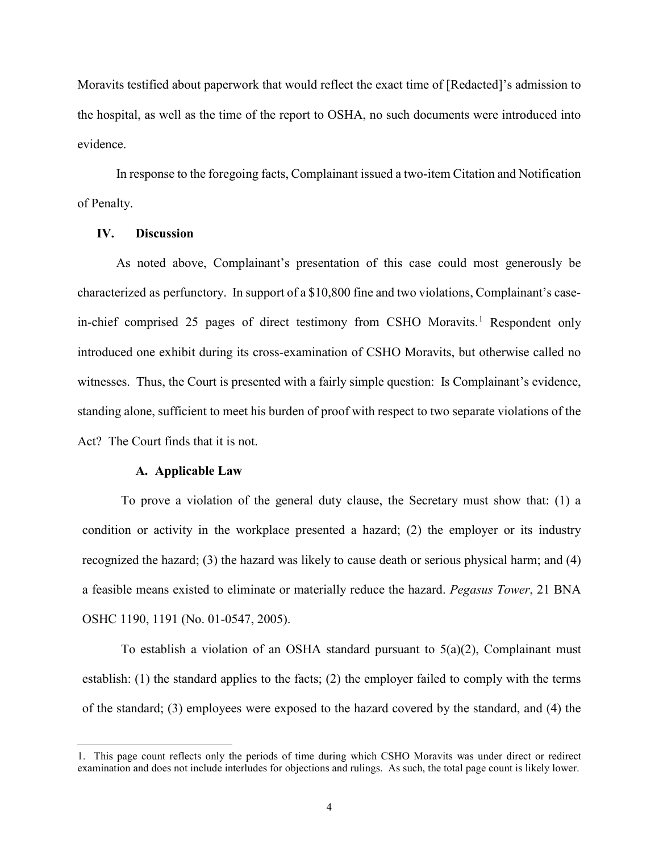Moravits testified about paperwork that would reflect the exact time of [Redacted]'s admission to the hospital, as well as the time of the report to OSHA, no such documents were introduced into evidence.

In response to the foregoing facts, Complainant issued a two-item Citation and Notification of Penalty.

# **IV. Discussion**

As noted above, Complainant's presentation of this case could most generously be characterized as perfunctory. In support of a \$10,800 fine and two violations, Complainant's case-in-chief comprised 25 pages of direct testimony from CSHO Moravits.<sup>[1](#page-3-0)</sup> Respondent only introduced one exhibit during its cross-examination of CSHO Moravits, but otherwise called no witnesses. Thus, the Court is presented with a fairly simple question: Is Complainant's evidence, standing alone, sufficient to meet his burden of proof with respect to two separate violations of the Act? The Court finds that it is not.

#### **A. Applicable Law**

 $\overline{a}$ 

To prove a violation of the general duty clause, the Secretary must show that: (1) a condition or activity in the workplace presented a hazard; (2) the employer or its industry recognized the hazard; (3) the hazard was likely to cause death or serious physical harm; and (4) a feasible means existed to eliminate or materially reduce the hazard. *Pegasus Tower*, 21 BNA OSHC 1190, 1191 (No. 01-0547, 2005).

To establish a violation of an OSHA standard pursuant to  $5(a)(2)$ , Complainant must establish: (1) the standard applies to the facts; (2) the employer failed to comply with the terms of the standard; (3) employees were exposed to the hazard covered by the standard, and (4) the

<span id="page-3-0"></span><sup>1.</sup> This page count reflects only the periods of time during which CSHO Moravits was under direct or redirect examination and does not include interludes for objections and rulings. As such, the total page count is likely lower.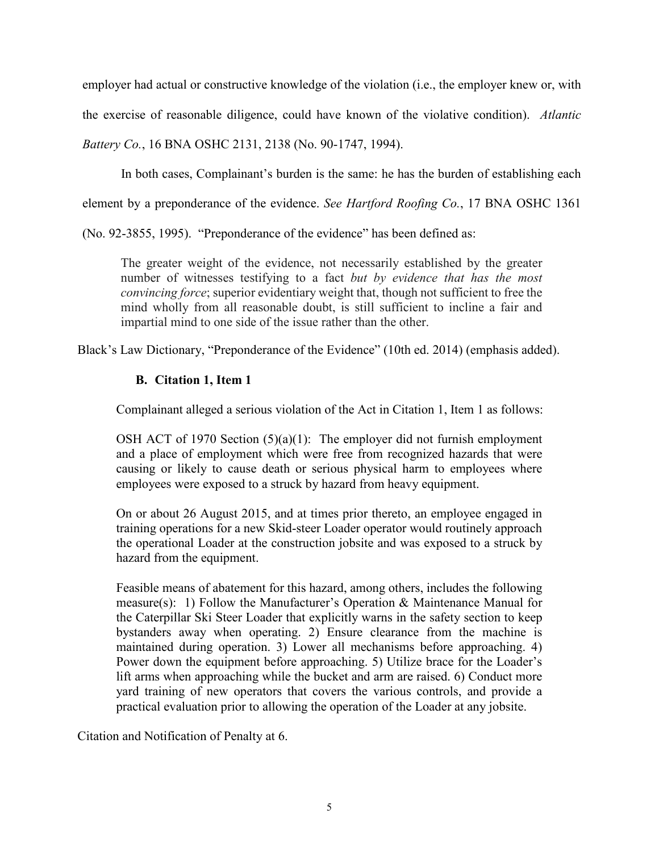employer had actual or constructive knowledge of the violation (i.e., the employer knew or, with the exercise of reasonable diligence, could have known of the violative condition). *Atlantic Battery Co.*, 16 BNA OSHC 2131, 2138 (No. 90-1747, 1994).

In both cases, Complainant's burden is the same: he has the burden of establishing each

element by a preponderance of the evidence. *See Hartford Roofing Co.*, 17 BNA OSHC 1361

(No. 92-3855, 1995). "Preponderance of the evidence" has been defined as:

The greater weight of the evidence, not necessarily established by the greater number of witnesses testifying to a fact *but by evidence that has the most convincing force*; superior evidentiary weight that, though not sufficient to free the mind wholly from all reasonable doubt, is still sufficient to incline a fair and impartial mind to one side of the issue rather than the other.

Black's Law Dictionary, "Preponderance of the Evidence" (10th ed. 2014) (emphasis added).

# **B. Citation 1, Item 1**

Complainant alleged a serious violation of the Act in Citation 1, Item 1 as follows:

OSH ACT of 1970 Section  $(5)(a)(1)$ : The employer did not furnish employment and a place of employment which were free from recognized hazards that were causing or likely to cause death or serious physical harm to employees where employees were exposed to a struck by hazard from heavy equipment.

On or about 26 August 2015, and at times prior thereto, an employee engaged in training operations for a new Skid-steer Loader operator would routinely approach the operational Loader at the construction jobsite and was exposed to a struck by hazard from the equipment.

Feasible means of abatement for this hazard, among others, includes the following measure(s): 1) Follow the Manufacturer's Operation & Maintenance Manual for the Caterpillar Ski Steer Loader that explicitly warns in the safety section to keep bystanders away when operating. 2) Ensure clearance from the machine is maintained during operation. 3) Lower all mechanisms before approaching. 4) Power down the equipment before approaching. 5) Utilize brace for the Loader's lift arms when approaching while the bucket and arm are raised. 6) Conduct more yard training of new operators that covers the various controls, and provide a practical evaluation prior to allowing the operation of the Loader at any jobsite.

Citation and Notification of Penalty at 6.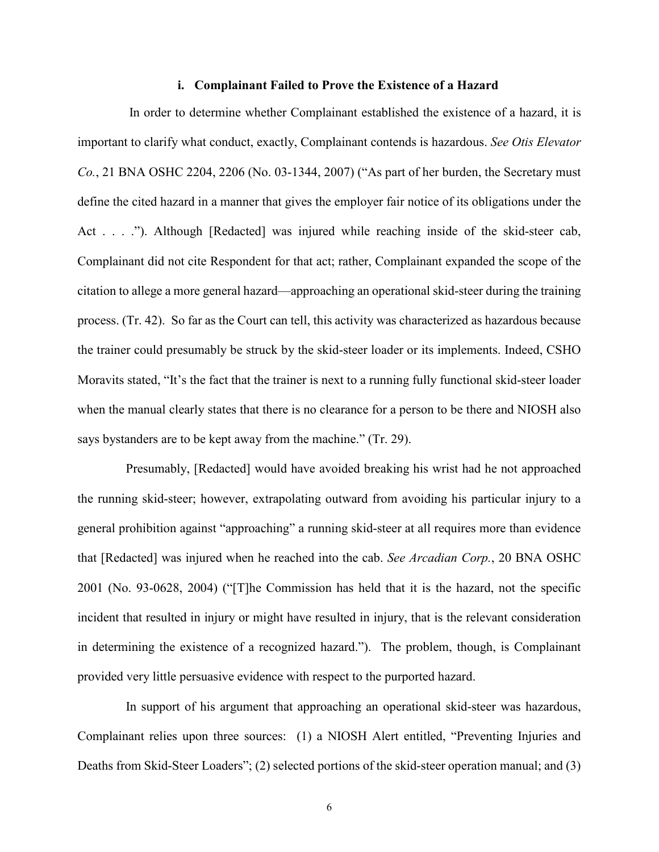## **i. Complainant Failed to Prove the Existence of a Hazard**

 In order to determine whether Complainant established the existence of a hazard, it is important to clarify what conduct, exactly, Complainant contends is hazardous. *See Otis Elevator Co.*, 21 BNA OSHC 2204, 2206 (No. 03-1344, 2007) ("As part of her burden, the Secretary must define the cited hazard in a manner that gives the employer fair notice of its obligations under the Act . . . ."). Although [Redacted] was injured while reaching inside of the skid-steer cab, Complainant did not cite Respondent for that act; rather, Complainant expanded the scope of the citation to allege a more general hazard—approaching an operational skid-steer during the training process. (Tr. 42). So far as the Court can tell, this activity was characterized as hazardous because the trainer could presumably be struck by the skid-steer loader or its implements. Indeed, CSHO Moravits stated, "It's the fact that the trainer is next to a running fully functional skid-steer loader when the manual clearly states that there is no clearance for a person to be there and NIOSH also says bystanders are to be kept away from the machine." (Tr. 29).

 Presumably, [Redacted] would have avoided breaking his wrist had he not approached the running skid-steer; however, extrapolating outward from avoiding his particular injury to a general prohibition against "approaching" a running skid-steer at all requires more than evidence that [Redacted] was injured when he reached into the cab. *See Arcadian Corp.*, 20 BNA OSHC 2001 (No. 93-0628, 2004) ("[T]he Commission has held that it is the hazard, not the specific incident that resulted in injury or might have resulted in injury, that is the relevant consideration in determining the existence of a recognized hazard."). The problem, though, is Complainant provided very little persuasive evidence with respect to the purported hazard.

In support of his argument that approaching an operational skid-steer was hazardous, Complainant relies upon three sources: (1) a NIOSH Alert entitled, "Preventing Injuries and Deaths from Skid-Steer Loaders"; (2) selected portions of the skid-steer operation manual; and (3)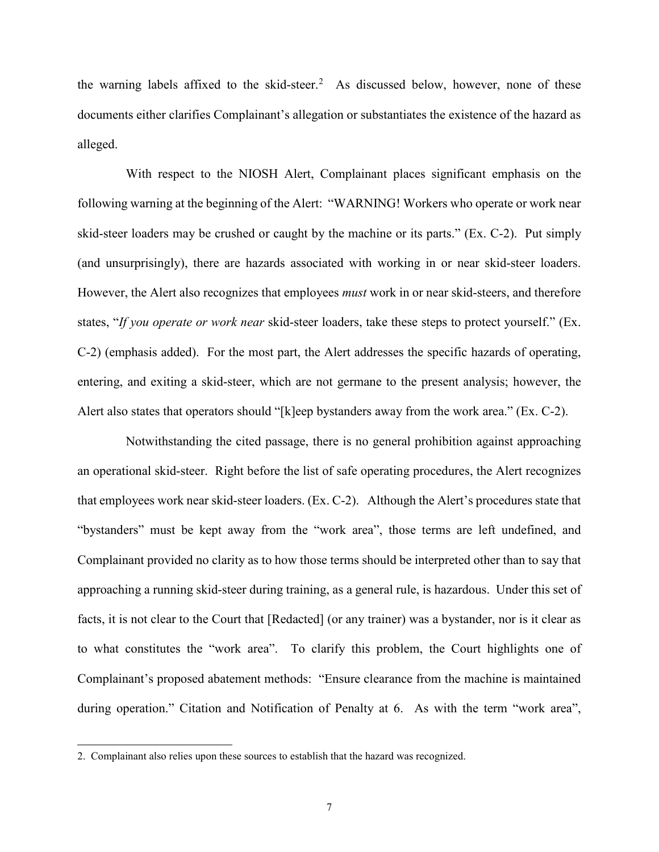the warning labels affixed to the skid-steer. [2](#page-6-0) As discussed below, however, none of these documents either clarifies Complainant's allegation or substantiates the existence of the hazard as alleged.

With respect to the NIOSH Alert, Complainant places significant emphasis on the following warning at the beginning of the Alert: "WARNING! Workers who operate or work near skid-steer loaders may be crushed or caught by the machine or its parts." (Ex. C-2). Put simply (and unsurprisingly), there are hazards associated with working in or near skid-steer loaders. However, the Alert also recognizes that employees *must* work in or near skid-steers, and therefore states, "*If you operate or work near* skid-steer loaders, take these steps to protect yourself." (Ex. C-2) (emphasis added). For the most part, the Alert addresses the specific hazards of operating, entering, and exiting a skid-steer, which are not germane to the present analysis; however, the Alert also states that operators should "[k]eep bystanders away from the work area." (Ex. C-2).

Notwithstanding the cited passage, there is no general prohibition against approaching an operational skid-steer. Right before the list of safe operating procedures, the Alert recognizes that employees work near skid-steer loaders. (Ex. C-2). Although the Alert's procedures state that "bystanders" must be kept away from the "work area", those terms are left undefined, and Complainant provided no clarity as to how those terms should be interpreted other than to say that approaching a running skid-steer during training, as a general rule, is hazardous. Under this set of facts, it is not clear to the Court that [Redacted] (or any trainer) was a bystander, nor is it clear as to what constitutes the "work area". To clarify this problem, the Court highlights one of Complainant's proposed abatement methods: "Ensure clearance from the machine is maintained during operation." Citation and Notification of Penalty at 6. As with the term "work area",

<span id="page-6-0"></span><sup>2.</sup> Complainant also relies upon these sources to establish that the hazard was recognized.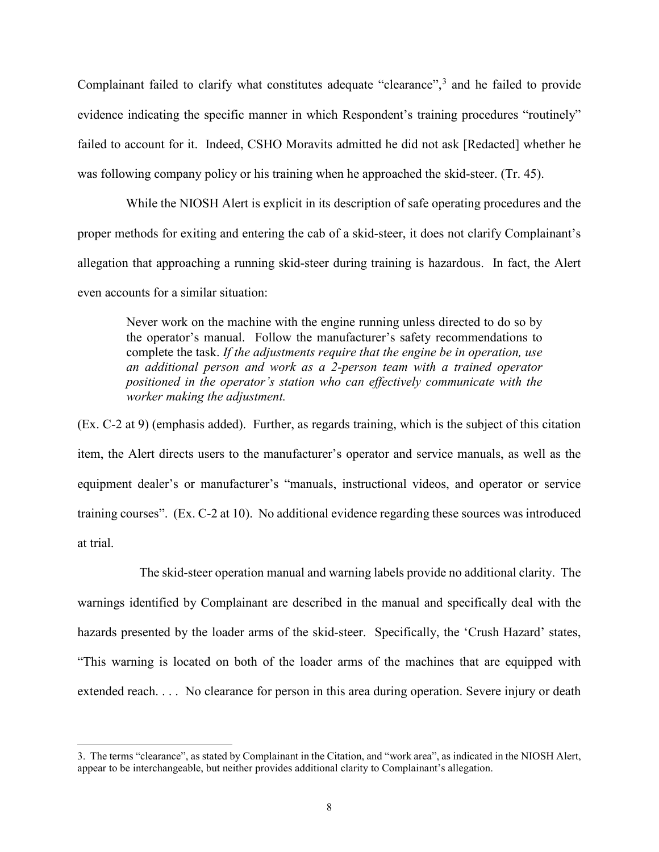Complainant failed to clarify what constitutes adequate "clearance",<sup>[3](#page-7-0)</sup> and he failed to provide evidence indicating the specific manner in which Respondent's training procedures "routinely" failed to account for it. Indeed, CSHO Moravits admitted he did not ask [Redacted] whether he was following company policy or his training when he approached the skid-steer. (Tr. 45).

While the NIOSH Alert is explicit in its description of safe operating procedures and the proper methods for exiting and entering the cab of a skid-steer, it does not clarify Complainant's allegation that approaching a running skid-steer during training is hazardous. In fact, the Alert even accounts for a similar situation:

Never work on the machine with the engine running unless directed to do so by the operator's manual. Follow the manufacturer's safety recommendations to complete the task. *If the adjustments require that the engine be in operation, use an additional person and work as a 2-person team with a trained operator positioned in the operator's station who can effectively communicate with the worker making the adjustment.*

(Ex. C-2 at 9) (emphasis added). Further, as regards training, which is the subject of this citation item, the Alert directs users to the manufacturer's operator and service manuals, as well as the equipment dealer's or manufacturer's "manuals, instructional videos, and operator or service training courses". (Ex. C-2 at 10). No additional evidence regarding these sources was introduced at trial.

 The skid-steer operation manual and warning labels provide no additional clarity. The warnings identified by Complainant are described in the manual and specifically deal with the hazards presented by the loader arms of the skid-steer. Specifically, the 'Crush Hazard' states, "This warning is located on both of the loader arms of the machines that are equipped with extended reach. . . . No clearance for person in this area during operation. Severe injury or death

<span id="page-7-0"></span><sup>3.</sup> The terms "clearance", as stated by Complainant in the Citation, and "work area", as indicated in the NIOSH Alert, appear to be interchangeable, but neither provides additional clarity to Complainant's allegation.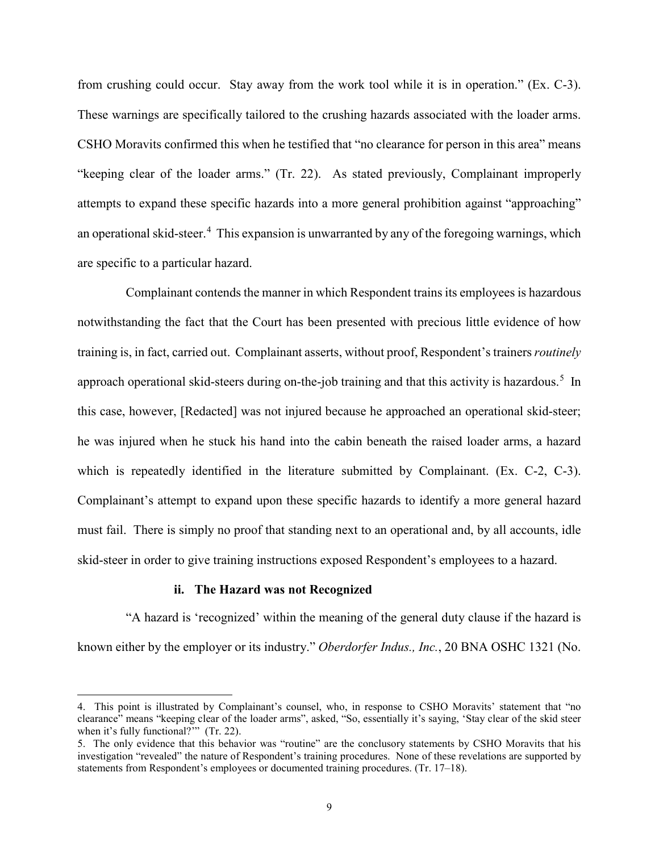from crushing could occur. Stay away from the work tool while it is in operation." (Ex. C-3). These warnings are specifically tailored to the crushing hazards associated with the loader arms. CSHO Moravits confirmed this when he testified that "no clearance for person in this area" means "keeping clear of the loader arms." (Tr. 22). As stated previously, Complainant improperly attempts to expand these specific hazards into a more general prohibition against "approaching" an operational skid-steer.<sup>[4](#page-8-0)</sup> This expansion is unwarranted by any of the foregoing warnings, which are specific to a particular hazard.

 Complainant contends the manner in which Respondent trains its employees is hazardous notwithstanding the fact that the Court has been presented with precious little evidence of how training is, in fact, carried out. Complainant asserts, without proof, Respondent's trainers *routinely* approach operational skid-steers during on-the-job training and that this activity is hazardous.<sup>[5](#page-8-1)</sup> In this case, however, [Redacted] was not injured because he approached an operational skid-steer; he was injured when he stuck his hand into the cabin beneath the raised loader arms, a hazard which is repeatedly identified in the literature submitted by Complainant. (Ex. C-2, C-3). Complainant's attempt to expand upon these specific hazards to identify a more general hazard must fail. There is simply no proof that standing next to an operational and, by all accounts, idle skid-steer in order to give training instructions exposed Respondent's employees to a hazard.

# **ii. The Hazard was not Recognized**

 $\overline{a}$ 

"A hazard is 'recognized' within the meaning of the general duty clause if the hazard is known either by the employer or its industry." *Oberdorfer Indus., Inc.*, 20 BNA OSHC 1321 (No.

<span id="page-8-0"></span><sup>4.</sup> This point is illustrated by Complainant's counsel, who, in response to CSHO Moravits' statement that "no clearance" means "keeping clear of the loader arms", asked, "So, essentially it's saying, 'Stay clear of the skid steer when it's fully functional?"" (Tr. 22).

<span id="page-8-1"></span><sup>5.</sup> The only evidence that this behavior was "routine" are the conclusory statements by CSHO Moravits that his investigation "revealed" the nature of Respondent's training procedures. None of these revelations are supported by statements from Respondent's employees or documented training procedures. (Tr. 17–18).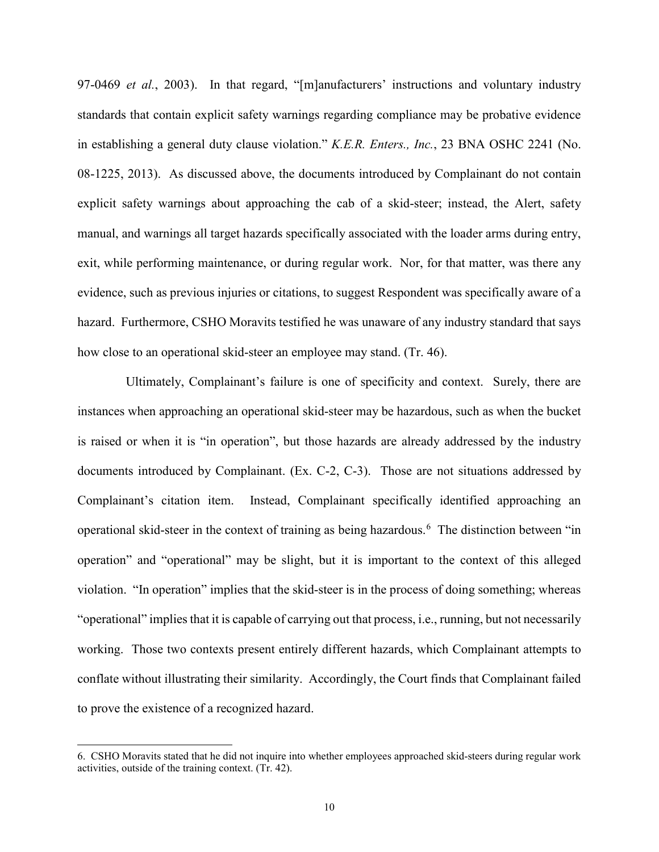97-0469 *et al.*, 2003). In that regard, "[m]anufacturers' instructions and voluntary industry standards that contain explicit safety warnings regarding compliance may be probative evidence in establishing a general duty clause violation." *K.E.R. Enters., Inc.*, 23 BNA OSHC 2241 (No. 08-1225, 2013). As discussed above, the documents introduced by Complainant do not contain explicit safety warnings about approaching the cab of a skid-steer; instead, the Alert, safety manual, and warnings all target hazards specifically associated with the loader arms during entry, exit, while performing maintenance, or during regular work. Nor, for that matter, was there any evidence, such as previous injuries or citations, to suggest Respondent was specifically aware of a hazard. Furthermore, CSHO Moravits testified he was unaware of any industry standard that says how close to an operational skid-steer an employee may stand. (Tr. 46).

Ultimately, Complainant's failure is one of specificity and context. Surely, there are instances when approaching an operational skid-steer may be hazardous, such as when the bucket is raised or when it is "in operation", but those hazards are already addressed by the industry documents introduced by Complainant. (Ex. C-2, C-3). Those are not situations addressed by Complainant's citation item. Instead, Complainant specifically identified approaching an operational skid-steer in the context of training as being hazardous.<sup>[6](#page-9-0)</sup> The distinction between "in operation" and "operational" may be slight, but it is important to the context of this alleged violation. "In operation" implies that the skid-steer is in the process of doing something; whereas "operational" implies that it is capable of carrying out that process, i.e., running, but not necessarily working. Those two contexts present entirely different hazards, which Complainant attempts to conflate without illustrating their similarity. Accordingly, the Court finds that Complainant failed to prove the existence of a recognized hazard.

<span id="page-9-0"></span><sup>6.</sup> CSHO Moravits stated that he did not inquire into whether employees approached skid-steers during regular work activities, outside of the training context. (Tr. 42).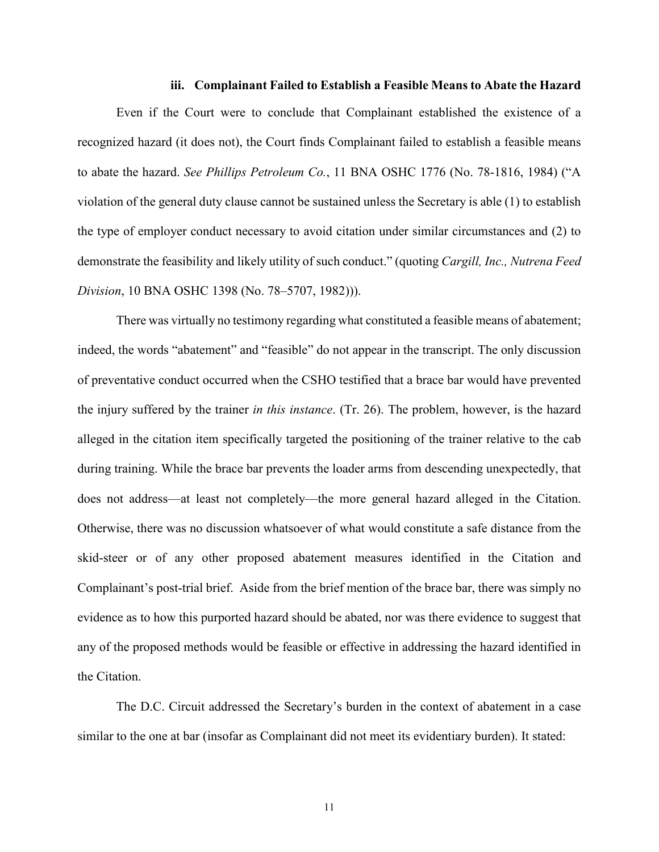## **iii. Complainant Failed to Establish a Feasible Means to Abate the Hazard**

 Even if the Court were to conclude that Complainant established the existence of a recognized hazard (it does not), the Court finds Complainant failed to establish a feasible means to abate the hazard. *See Phillips Petroleum Co.*, 11 BNA OSHC 1776 (No. 78-1816, 1984) ("A violation of the general duty clause cannot be sustained unless the Secretary is able (1) to establish the type of employer conduct necessary to avoid citation under similar circumstances and (2) to demonstrate the feasibility and likely utility of such conduct." (quoting *Cargill, Inc., Nutrena Feed Division*, 10 BNA OSHC 1398 (No. 78–5707, 1982))).

There was virtually no testimony regarding what constituted a feasible means of abatement; indeed, the words "abatement" and "feasible" do not appear in the transcript. The only discussion of preventative conduct occurred when the CSHO testified that a brace bar would have prevented the injury suffered by the trainer *in this instance*. (Tr. 26). The problem, however, is the hazard alleged in the citation item specifically targeted the positioning of the trainer relative to the cab during training. While the brace bar prevents the loader arms from descending unexpectedly, that does not address—at least not completely—the more general hazard alleged in the Citation. Otherwise, there was no discussion whatsoever of what would constitute a safe distance from the skid-steer or of any other proposed abatement measures identified in the Citation and Complainant's post-trial brief. Aside from the brief mention of the brace bar, there was simply no evidence as to how this purported hazard should be abated, nor was there evidence to suggest that any of the proposed methods would be feasible or effective in addressing the hazard identified in the Citation.

The D.C. Circuit addressed the Secretary's burden in the context of abatement in a case similar to the one at bar (insofar as Complainant did not meet its evidentiary burden). It stated:

11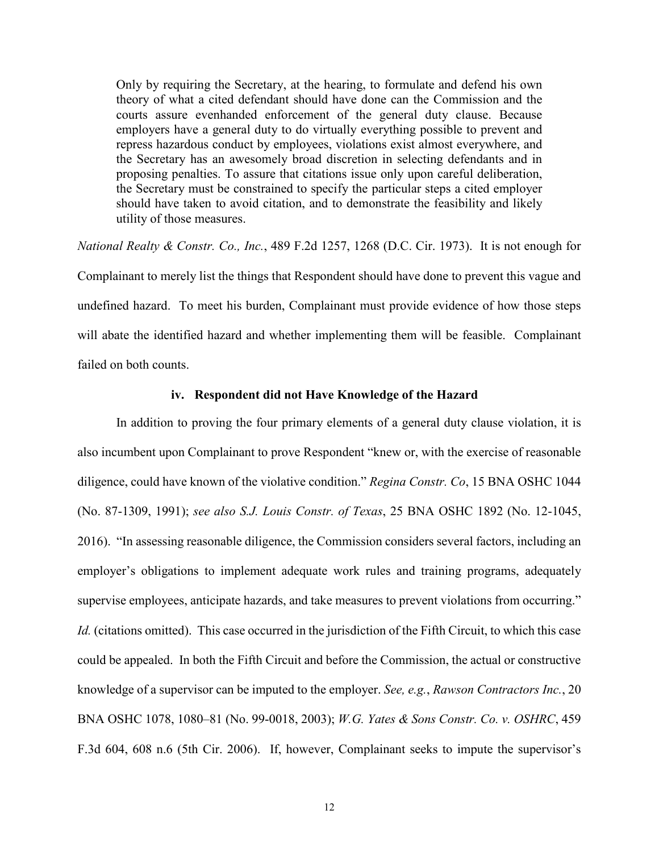Only by requiring the Secretary, at the hearing, to formulate and defend his own theory of what a cited defendant should have done can the Commission and the courts assure evenhanded enforcement of the general duty clause. Because employers have a general duty to do virtually everything possible to prevent and repress hazardous conduct by employees, violations exist almost everywhere, and the Secretary has an awesomely broad discretion in selecting defendants and in proposing penalties. To assure that citations issue only upon careful deliberation, the Secretary must be constrained to specify the particular steps a cited employer should have taken to avoid citation, and to demonstrate the feasibility and likely utility of those measures.

*National Realty & Constr. Co., Inc.*, 489 F.2d 1257, 1268 (D.C. Cir. 1973). It is not enough for Complainant to merely list the things that Respondent should have done to prevent this vague and undefined hazard. To meet his burden, Complainant must provide evidence of how those steps will abate the identified hazard and whether implementing them will be feasible. Complainant failed on both counts.

# **iv. Respondent did not Have Knowledge of the Hazard**

In addition to proving the four primary elements of a general duty clause violation, it is also incumbent upon Complainant to prove Respondent "knew or, with the exercise of reasonable diligence, could have known of the violative condition." *Regina Constr. Co*, 15 BNA OSHC 1044 (No. 87-1309, 1991); *see also S.J. Louis Constr. of Texas*, 25 BNA OSHC 1892 (No. 12-1045, 2016). "In assessing reasonable diligence, the Commission considers several factors, including an employer's obligations to implement adequate work rules and training programs, adequately supervise employees, anticipate hazards, and take measures to prevent violations from occurring." *Id.* (citations omitted). This case occurred in the jurisdiction of the Fifth Circuit, to which this case could be appealed. In both the Fifth Circuit and before the Commission, the actual or constructive knowledge of a supervisor can be imputed to the employer. *See, e.g.*, *Rawson Contractors Inc.*, 20 BNA OSHC 1078, 1080–81 (No. 99-0018, 2003); *W.G. Yates & Sons Constr. Co. v. OSHRC*, 459 F.3d 604, 608 n.6 (5th Cir. 2006). If, however, Complainant seeks to impute the supervisor's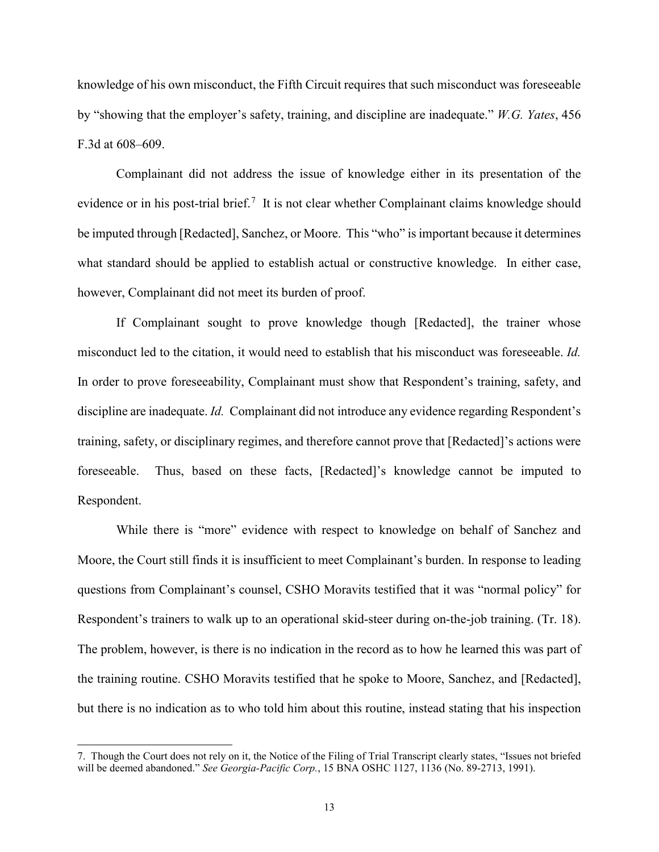knowledge of his own misconduct, the Fifth Circuit requires that such misconduct was foreseeable by "showing that the employer's safety, training, and discipline are inadequate." *W.G. Yates*, 456 F.3d at 608–609.

Complainant did not address the issue of knowledge either in its presentation of the evidence or in his post-trial brief.<sup>[7](#page-12-0)</sup> It is not clear whether Complainant claims knowledge should be imputed through [Redacted], Sanchez, or Moore. This "who" is important because it determines what standard should be applied to establish actual or constructive knowledge. In either case, however, Complainant did not meet its burden of proof.

If Complainant sought to prove knowledge though [Redacted], the trainer whose misconduct led to the citation, it would need to establish that his misconduct was foreseeable. *Id.* In order to prove foreseeability, Complainant must show that Respondent's training, safety, and discipline are inadequate. *Id.* Complainant did not introduce any evidence regarding Respondent's training, safety, or disciplinary regimes, and therefore cannot prove that [Redacted]'s actions were foreseeable. Thus, based on these facts, [Redacted]'s knowledge cannot be imputed to Respondent.

While there is "more" evidence with respect to knowledge on behalf of Sanchez and Moore, the Court still finds it is insufficient to meet Complainant's burden. In response to leading questions from Complainant's counsel, CSHO Moravits testified that it was "normal policy" for Respondent's trainers to walk up to an operational skid-steer during on-the-job training. (Tr. 18). The problem, however, is there is no indication in the record as to how he learned this was part of the training routine. CSHO Moravits testified that he spoke to Moore, Sanchez, and [Redacted], but there is no indication as to who told him about this routine, instead stating that his inspection

<span id="page-12-0"></span><sup>7.</sup> Though the Court does not rely on it, the Notice of the Filing of Trial Transcript clearly states, "Issues not briefed will be deemed abandoned." *See Georgia-Pacific Corp.*, 15 BNA OSHC 1127, 1136 (No. 89-2713, 1991).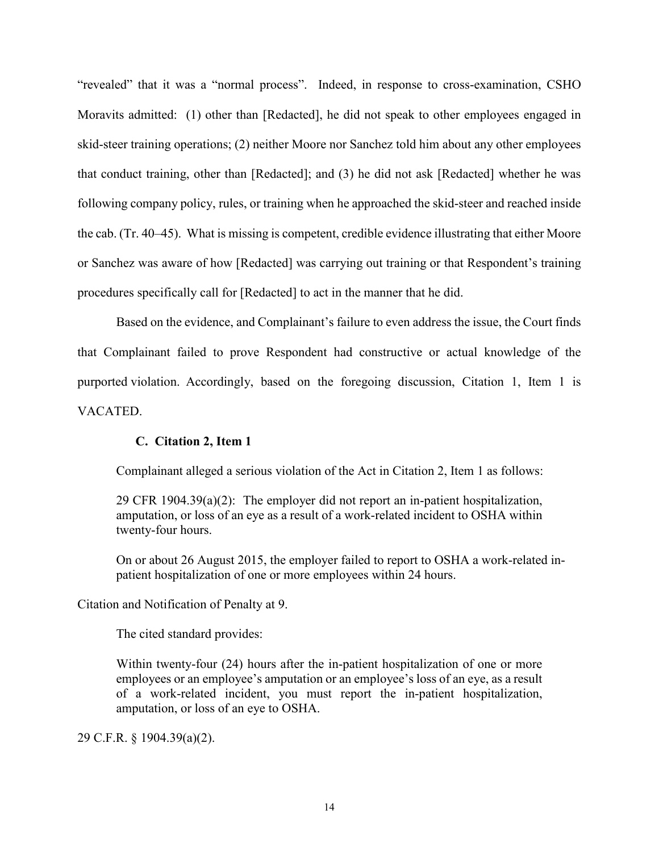"revealed" that it was a "normal process". Indeed, in response to cross-examination, CSHO Moravits admitted: (1) other than [Redacted], he did not speak to other employees engaged in skid-steer training operations; (2) neither Moore nor Sanchez told him about any other employees that conduct training, other than [Redacted]; and (3) he did not ask [Redacted] whether he was following company policy, rules, or training when he approached the skid-steer and reached inside the cab. (Tr. 40–45). What is missing is competent, credible evidence illustrating that either Moore or Sanchez was aware of how [Redacted] was carrying out training or that Respondent's training procedures specifically call for [Redacted] to act in the manner that he did.

Based on the evidence, and Complainant's failure to even address the issue, the Court finds that Complainant failed to prove Respondent had constructive or actual knowledge of the purported violation. Accordingly, based on the foregoing discussion, Citation 1, Item 1 is VACATED.

# **C. Citation 2, Item 1**

Complainant alleged a serious violation of the Act in Citation 2, Item 1 as follows:

29 CFR 1904.39(a)(2): The employer did not report an in-patient hospitalization, amputation, or loss of an eye as a result of a work-related incident to OSHA within twenty-four hours.

On or about 26 August 2015, the employer failed to report to OSHA a work-related inpatient hospitalization of one or more employees within 24 hours.

Citation and Notification of Penalty at 9.

The cited standard provides:

Within twenty-four (24) hours after the in-patient hospitalization of one or more employees or an employee's amputation or an employee's loss of an eye, as a result of a work-related incident, you must report the in-patient hospitalization, amputation, or loss of an eye to OSHA.

29 C.F.R. § 1904.39(a)(2).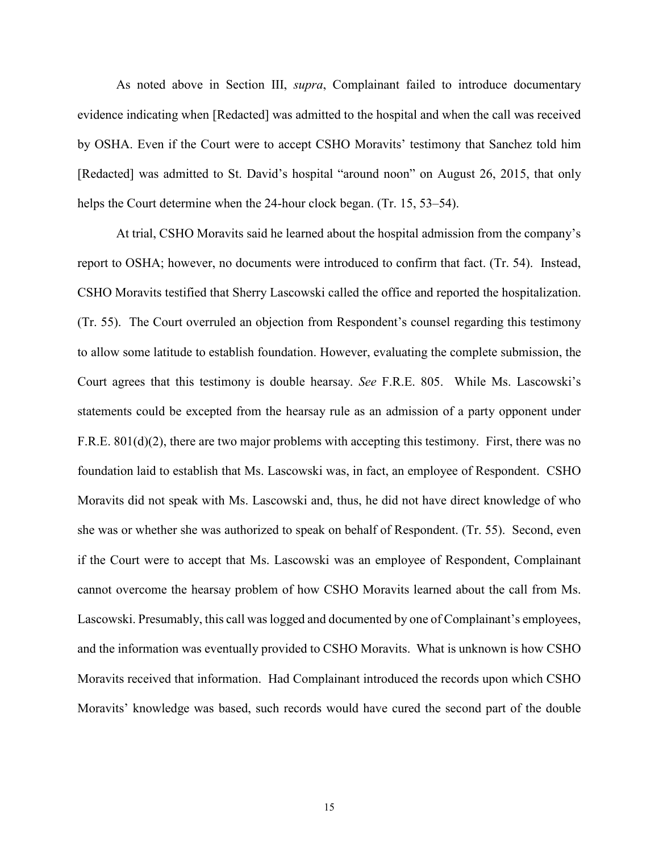As noted above in Section III, *supra*, Complainant failed to introduce documentary evidence indicating when [Redacted] was admitted to the hospital and when the call was received by OSHA. Even if the Court were to accept CSHO Moravits' testimony that Sanchez told him [Redacted] was admitted to St. David's hospital "around noon" on August 26, 2015, that only helps the Court determine when the 24-hour clock began. (Tr. 15, 53–54).

At trial, CSHO Moravits said he learned about the hospital admission from the company's report to OSHA; however, no documents were introduced to confirm that fact. (Tr. 54). Instead, CSHO Moravits testified that Sherry Lascowski called the office and reported the hospitalization. (Tr. 55). The Court overruled an objection from Respondent's counsel regarding this testimony to allow some latitude to establish foundation. However, evaluating the complete submission, the Court agrees that this testimony is double hearsay. *See* F.R.E. 805. While Ms. Lascowski's statements could be excepted from the hearsay rule as an admission of a party opponent under F.R.E. 801(d)(2), there are two major problems with accepting this testimony. First, there was no foundation laid to establish that Ms. Lascowski was, in fact, an employee of Respondent. CSHO Moravits did not speak with Ms. Lascowski and, thus, he did not have direct knowledge of who she was or whether she was authorized to speak on behalf of Respondent. (Tr. 55). Second, even if the Court were to accept that Ms. Lascowski was an employee of Respondent, Complainant cannot overcome the hearsay problem of how CSHO Moravits learned about the call from Ms. Lascowski. Presumably, this call was logged and documented by one of Complainant's employees, and the information was eventually provided to CSHO Moravits. What is unknown is how CSHO Moravits received that information. Had Complainant introduced the records upon which CSHO Moravits' knowledge was based, such records would have cured the second part of the double